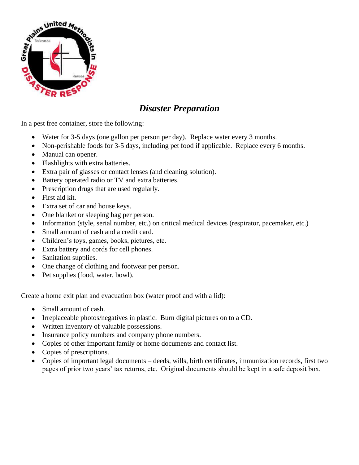

# *Disaster Preparation*

In a pest free container, store the following:

- Water for 3-5 days (one gallon per person per day). Replace water every 3 months.
- Non-perishable foods for 3-5 days, including pet food if applicable. Replace every 6 months.
- Manual can opener.
- Flashlights with extra batteries.
- Extra pair of glasses or contact lenses (and cleaning solution).
- Battery operated radio or TV and extra batteries.
- Prescription drugs that are used regularly.
- First aid kit.
- Extra set of car and house keys.
- One blanket or sleeping bag per person.
- Information (style, serial number, etc.) on critical medical devices (respirator, pacemaker, etc.)
- Small amount of cash and a credit card.
- Children's toys, games, books, pictures, etc.
- Extra battery and cords for cell phones.
- Sanitation supplies.
- One change of clothing and footwear per person.
- Pet supplies (food, water, bowl).

Create a home exit plan and evacuation box (water proof and with a lid):

- Small amount of cash.
- Irreplaceable photos/negatives in plastic. Burn digital pictures on to a CD.
- Written inventory of valuable possessions.
- Insurance policy numbers and company phone numbers.
- Copies of other important family or home documents and contact list.
- Copies of prescriptions.
- Copies of important legal documents deeds, wills, birth certificates, immunization records, first two pages of prior two years' tax returns, etc. Original documents should be kept in a safe deposit box.